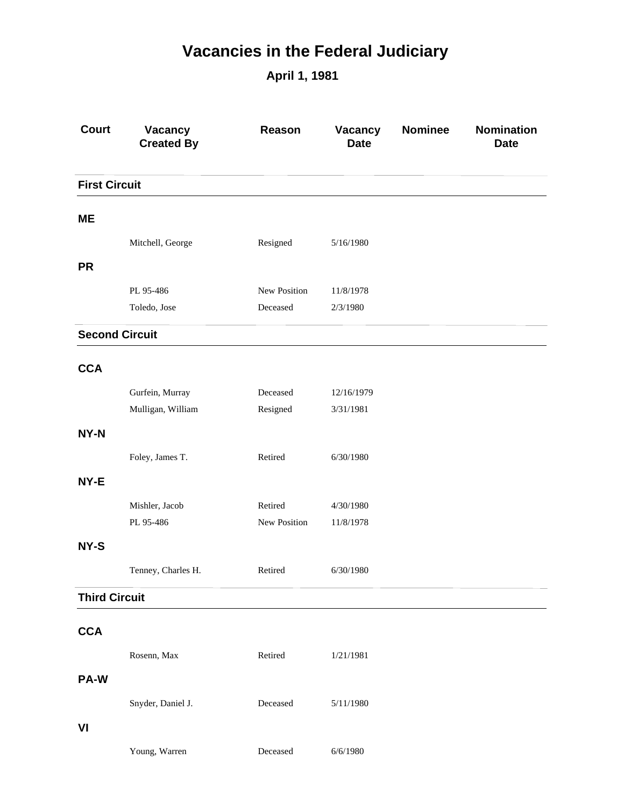## **Vacancies in the Federal Judiciary**

**April 1, 1981**

| <b>Court</b>          | <b>Vacancy</b><br><b>Created By</b> | Reason       | Vacancy<br><b>Date</b> | <b>Nominee</b> | Nomination<br><b>Date</b> |  |  |
|-----------------------|-------------------------------------|--------------|------------------------|----------------|---------------------------|--|--|
| <b>First Circuit</b>  |                                     |              |                        |                |                           |  |  |
| <b>ME</b>             |                                     |              |                        |                |                           |  |  |
|                       | Mitchell, George                    | Resigned     | 5/16/1980              |                |                           |  |  |
| <b>PR</b>             |                                     |              |                        |                |                           |  |  |
|                       | PL 95-486                           | New Position | 11/8/1978              |                |                           |  |  |
|                       | Toledo, Jose                        | Deceased     | 2/3/1980               |                |                           |  |  |
| <b>Second Circuit</b> |                                     |              |                        |                |                           |  |  |
| <b>CCA</b>            |                                     |              |                        |                |                           |  |  |
|                       | Gurfein, Murray                     | Deceased     | 12/16/1979             |                |                           |  |  |
|                       | Mulligan, William                   | Resigned     | 3/31/1981              |                |                           |  |  |
| NY-N                  |                                     |              |                        |                |                           |  |  |
|                       | Foley, James T.                     | Retired      | 6/30/1980              |                |                           |  |  |
| NY-E                  |                                     |              |                        |                |                           |  |  |
|                       | Mishler, Jacob                      | Retired      | 4/30/1980              |                |                           |  |  |
|                       | PL 95-486                           | New Position | 11/8/1978              |                |                           |  |  |
| NY-S                  |                                     |              |                        |                |                           |  |  |
|                       | Tenney, Charles H.                  | Retired      | 6/30/1980              |                |                           |  |  |
| <b>Third Circuit</b>  |                                     |              |                        |                |                           |  |  |
| <b>CCA</b>            |                                     |              |                        |                |                           |  |  |
|                       |                                     |              |                        |                |                           |  |  |
|                       | Rosenn, Max                         | Retired      | 1/21/1981              |                |                           |  |  |
| PA-W                  |                                     |              |                        |                |                           |  |  |
|                       | Snyder, Daniel J.                   | Deceased     | 5/11/1980              |                |                           |  |  |
| VI                    |                                     |              |                        |                |                           |  |  |
|                       | Young, Warren                       | Deceased     | 6/6/1980               |                |                           |  |  |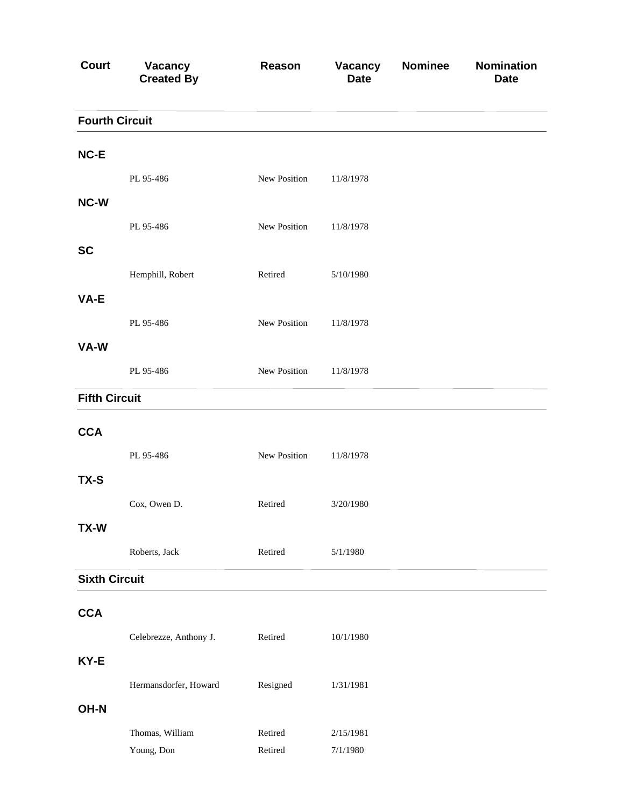| <b>Court</b>          | <b>Vacancy</b><br><b>Created By</b> | Reason             | Vacancy<br><b>Date</b> | <b>Nominee</b> | <b>Nomination</b><br><b>Date</b> |
|-----------------------|-------------------------------------|--------------------|------------------------|----------------|----------------------------------|
| <b>Fourth Circuit</b> |                                     |                    |                        |                |                                  |
| NC-E                  |                                     |                    |                        |                |                                  |
|                       | PL 95-486                           | New Position       | 11/8/1978              |                |                                  |
| NC-W                  |                                     |                    |                        |                |                                  |
|                       | PL 95-486                           | New Position       | 11/8/1978              |                |                                  |
| <b>SC</b>             |                                     |                    |                        |                |                                  |
|                       | Hemphill, Robert                    | Retired            | 5/10/1980              |                |                                  |
| VA-E                  |                                     |                    |                        |                |                                  |
|                       | PL 95-486                           | New Position       | 11/8/1978              |                |                                  |
| VA-W                  |                                     |                    |                        |                |                                  |
|                       | PL 95-486                           | New Position       | 11/8/1978              |                |                                  |
| <b>Fifth Circuit</b>  |                                     |                    |                        |                |                                  |
| <b>CCA</b>            |                                     |                    |                        |                |                                  |
|                       | PL 95-486                           | New Position       | 11/8/1978              |                |                                  |
| TX-S                  |                                     |                    |                        |                |                                  |
|                       | Cox, Owen D.                        | Retired            | 3/20/1980              |                |                                  |
| TX-W                  |                                     |                    |                        |                |                                  |
|                       | Roberts, Jack                       | Retired            | 5/1/1980               |                |                                  |
| <b>Sixth Circuit</b>  |                                     |                    |                        |                |                                  |
| <b>CCA</b>            |                                     |                    |                        |                |                                  |
|                       | Celebrezze, Anthony J.              | Retired            | 10/1/1980              |                |                                  |
| KY-E                  |                                     |                    |                        |                |                                  |
|                       |                                     |                    |                        |                |                                  |
| OH-N                  | Hermansdorfer, Howard               | Resigned           | 1/31/1981              |                |                                  |
|                       |                                     |                    |                        |                |                                  |
|                       | Thomas, William<br>Young, Don       | Retired<br>Retired | 2/15/1981<br>7/1/1980  |                |                                  |
|                       |                                     |                    |                        |                |                                  |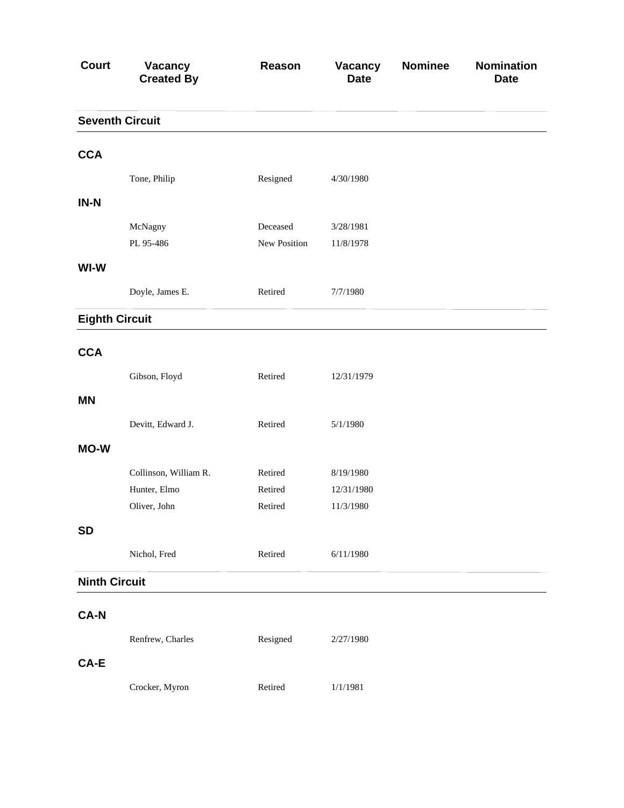| <b>Court</b>          | Vacancy<br><b>Created By</b> | Reason       | Vacancy<br><b>Date</b> | <b>Nominee</b> | <b>Nomination</b><br><b>Date</b> |
|-----------------------|------------------------------|--------------|------------------------|----------------|----------------------------------|
|                       | <b>Seventh Circuit</b>       |              |                        |                |                                  |
| <b>CCA</b>            |                              |              |                        |                |                                  |
|                       | Tone, Philip                 | Resigned     | 4/30/1980              |                |                                  |
| $IN-N$                |                              |              |                        |                |                                  |
|                       | McNagny                      | Deceased     | 3/28/1981              |                |                                  |
|                       | PL 95-486                    | New Position | 11/8/1978              |                |                                  |
| WI-W                  |                              |              |                        |                |                                  |
|                       | Doyle, James E.              | Retired      | 7/7/1980               |                |                                  |
| <b>Eighth Circuit</b> |                              |              |                        |                |                                  |
| <b>CCA</b>            |                              |              |                        |                |                                  |
|                       | Gibson, Floyd                | Retired      | 12/31/1979             |                |                                  |
| <b>MN</b>             |                              |              |                        |                |                                  |
|                       | Devitt, Edward J.            | Retired      | 5/1/1980               |                |                                  |
| <b>MO-W</b>           |                              |              |                        |                |                                  |
|                       | Collinson, William R.        | Retired      | 8/19/1980              |                |                                  |
|                       | Hunter, Elmo                 | Retired      | 12/31/1980             |                |                                  |
|                       | Oliver, John                 | Retired      | 11/3/1980              |                |                                  |
| <b>SD</b>             |                              |              |                        |                |                                  |
|                       | Nichol, Fred                 | Retired      | 6/11/1980              |                |                                  |
| <b>Ninth Circuit</b>  |                              |              |                        |                |                                  |
| <b>CA-N</b>           |                              |              |                        |                |                                  |
|                       | Renfrew, Charles             | Resigned     | 2/27/1980              |                |                                  |
| CA-E                  |                              |              |                        |                |                                  |
|                       | Crocker, Myron               | Retired      | 1/1/1981               |                |                                  |
|                       |                              |              |                        |                |                                  |